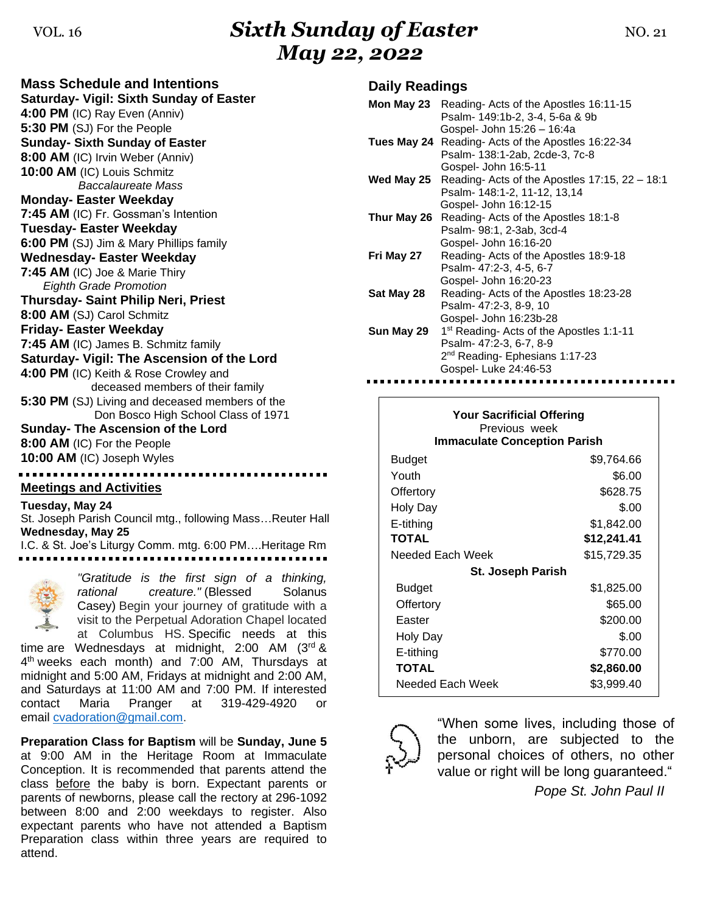# VOL. <sup>16</sup>*Sixth Sunday of Easter* NO. 21 *May 22, 2022*

| <b>Mass Schedule and Intentions</b><br>Saturday- Vigil: Sixth Sunday of Easter         |
|----------------------------------------------------------------------------------------|
| 4:00 PM (IC) Ray Even (Anniv)                                                          |
| 5:30 PM (SJ) For the People                                                            |
| <b>Sunday- Sixth Sunday of Easter</b>                                                  |
| 8:00 AM (IC) Irvin Weber (Anniv)                                                       |
| 10:00 AM (IC) Louis Schmitz                                                            |
| Baccalaureate Mass                                                                     |
| <b>Monday- Easter Weekday</b>                                                          |
| 7:45 AM (IC) Fr. Gossman's Intention                                                   |
| <b>Tuesday- Easter Weekday</b>                                                         |
| 6:00 PM (SJ) Jim & Mary Phillips family                                                |
| <b>Wednesday- Easter Weekday</b>                                                       |
| 7:45 AM (IC) Joe & Marie Thiry                                                         |
| <b>Eighth Grade Promotion</b>                                                          |
| <b>Thursday- Saint Philip Neri, Priest</b>                                             |
| 8:00 AM (SJ) Carol Schmitz                                                             |
| <b>Friday- Easter Weekday</b>                                                          |
| 7:45 AM (IC) James B. Schmitz family                                                   |
| Saturday- Vigil: The Ascension of the Lord                                             |
| 4:00 PM (IC) Keith & Rose Crowley and                                                  |
| deceased members of their family                                                       |
| 5:30 PM (SJ) Living and deceased members of the<br>Don Bosco High School Class of 1971 |
| Sunday- The Ascension of the Lord                                                      |
| 8:00 AM (IC) For the People                                                            |
| 10:00 AM (IC) Joseph Wyles                                                             |
|                                                                                        |
| <b>Meetings and Activities</b>                                                         |
|                                                                                        |

#### **Tuesday, May 24**

St. Joseph Parish Council mtg., following Mass…Reuter Hall **Wednesday, May 25**

I.C. & St. Joe's Liturgy Comm. mtg. 6:00 PM….Heritage Rm



time are Wednesdays at midnight,  $2:00$  AM  $(3<sup>rd</sup>$  & 4 th weeks each month) and 7:00 AM, Thursdays at midnight and 5:00 AM, Fridays at midnight and 2:00 AM, and Saturdays at 11:00 AM and 7:00 PM. If interested contact Maria Pranger at 319-429-4920 or email [cvadoration@gmail.com.](mailto:cvadoration@gmail.com)

**Preparation Class for Baptism** will be **Sunday, June 5** at 9:00 AM in the Heritage Room at Immaculate Conception. It is recommended that parents attend the class before the baby is born. Expectant parents or parents of newborns, please call the rectory at 296-1092 between 8:00 and 2:00 weekdays to register. Also expectant parents who have not attended a Baptism Preparation class within three years are required to attend.

### **Daily Readings**

|            | <b>Mon May 23</b> Reading-Acts of the Apostles 16:11-15 |
|------------|---------------------------------------------------------|
|            | Psalm- 149:1b-2, 3-4, 5-6a & 9b                         |
|            | Gospel- John 15:26 - 16:4a                              |
|            | Tues May 24 Reading- Acts of the Apostles 16:22-34      |
|            | Psalm- 138:1-2ab, 2cde-3, 7c-8                          |
|            | Gospel- John 16:5-11                                    |
| Wed May 25 | Reading-Acts of the Apostles 17:15, 22 - 18:1           |
|            | Psalm- 148:1-2, 11-12, 13,14                            |
|            | Gospel- John 16:12-15                                   |
|            | Thur May 26 Reading- Acts of the Apostles 18:1-8        |
|            | Psalm- 98:1, 2-3ab, 3cd-4                               |
|            | Gospel- John 16:16-20                                   |
| Fri May 27 | Reading-Acts of the Apostles 18:9-18                    |
|            | Psalm- 47:2-3, 4-5, 6-7                                 |
|            | Gospel- John 16:20-23                                   |
| Sat May 28 | Reading- Acts of the Apostles 18:23-28                  |
|            | Psalm- 47:2-3, 8-9, 10                                  |
|            | Gospel- John 16:23b-28                                  |
| Sun May 29 | 1 <sup>st</sup> Reading- Acts of the Apostles 1:1-11    |
|            | Psalm- 47:2-3, 6-7, 8-9                                 |
|            | 2 <sup>nd</sup> Reading- Ephesians 1:17-23              |
|            | Gospel- Luke 24:46-53                                   |

| <b>Your Sacrificial Offering</b><br>Previous week<br><b>Immaculate Conception Parish</b> |             |  |  |
|------------------------------------------------------------------------------------------|-------------|--|--|
| Budget                                                                                   | \$9,764.66  |  |  |
| Youth                                                                                    | \$6.00      |  |  |
| Offertory                                                                                | \$628.75    |  |  |
| Holy Day                                                                                 | \$.00       |  |  |
| E-tithing                                                                                | \$1,842.00  |  |  |
| TOTAL                                                                                    | \$12,241.41 |  |  |
| Needed Each Week                                                                         | \$15,729.35 |  |  |
| St. Joseph Parish                                                                        |             |  |  |
| Budget                                                                                   | \$1,825.00  |  |  |
| Offertory                                                                                | \$65.00     |  |  |
| Easter                                                                                   | \$200.00    |  |  |
| Holy Day                                                                                 | \$.00       |  |  |
| E-tithing                                                                                | \$770.00    |  |  |
| <b>TOTAL</b>                                                                             | \$2,860.00  |  |  |
| Needed Each Week                                                                         | \$3,999.40  |  |  |



"When some lives, including those of the unborn, are subjected to the personal choices of others, no other value or right will be long guaranteed."

*Pope St. John Paul II*